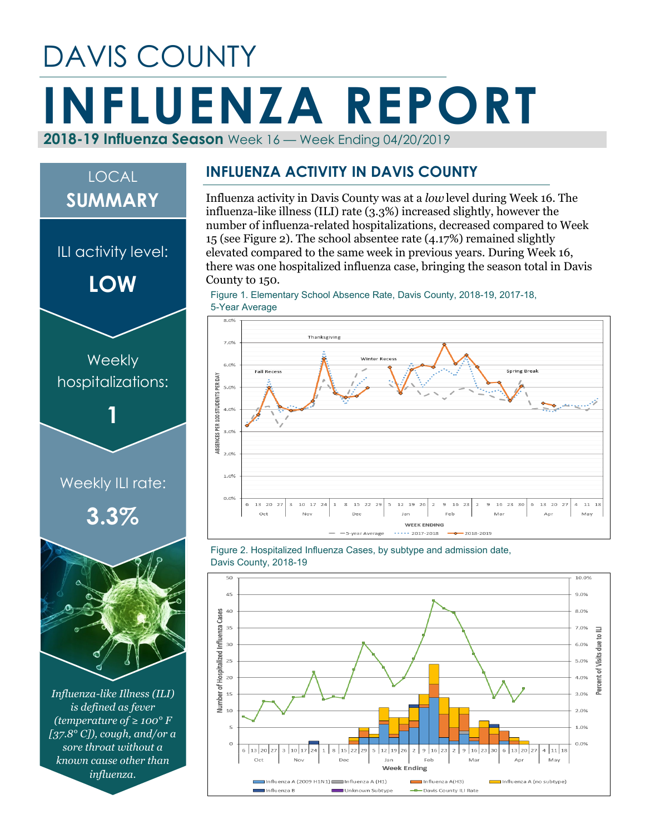# DAVIS COUNTY **INFLUENZA REPORT 2018-19 Influenza Season** Week 16 — Week Ending 04/20/2019

# *Influenza-like Illness (ILI) is defined as fever (temperature of ≥ 100° F [37.8° C]), cough, and/or a sore throat without a*  Weekly ILI rate: **3.3% Weekly** hospitalizations: **1** ILI activity level: **LOW** LOCAL **SUMMARY**

*known cause other than influenza.*

#### **INFLUENZA ACTIVITY IN DAVIS COUNTY**

Influenza activity in Davis County was at a *low* level during Week 16. The influenza-like illness (ILI) rate (3.3%) increased slightly, however the number of influenza-related hospitalizations, decreased compared to Week 15 (see Figure 2). The school absentee rate (4.17%) remained slightly elevated compared to the same week in previous years. During Week 16, there was one hospitalized influenza case, bringing the season total in Davis County to 150.

Figure 1. Elementary School Absence Rate, Davis County, 2018-19, 2017-18, 5-Year Average